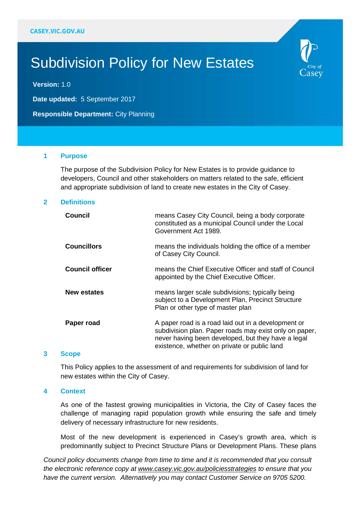# Subdivision Policy for New Estates

**Version:** 1.0

**Date updated:** 5 September 2017

**Responsible Department:** City Planning

#### **1 Purpose**

The purpose of the Subdivision Policy for New Estates is to provide guidance to developers, Council and other stakeholders on matters related to the safe, efficient and appropriate subdivision of land to create new estates in the City of Casey.

 $\mathcal{\lrcorner}$ asey

#### **2 Definitions**

| <b>Council</b>         | means Casey City Council, being a body corporate<br>constituted as a municipal Council under the Local<br>Government Act 1989.                                                                                      |
|------------------------|---------------------------------------------------------------------------------------------------------------------------------------------------------------------------------------------------------------------|
| <b>Councillors</b>     | means the individuals holding the office of a member<br>of Casey City Council.                                                                                                                                      |
| <b>Council officer</b> | means the Chief Executive Officer and staff of Council<br>appointed by the Chief Executive Officer.                                                                                                                 |
| <b>New estates</b>     | means larger scale subdivisions; typically being<br>subject to a Development Plan, Precinct Structure<br>Plan or other type of master plan                                                                          |
| Paper road             | A paper road is a road laid out in a development or<br>subdivision plan. Paper roads may exist only on paper,<br>never having been developed, but they have a legal<br>existence, whether on private or public land |

#### **3 Scope**

This Policy applies to the assessment of and requirements for subdivision of land for new estates within the City of Casey.

#### **4 Context**

As one of the fastest growing municipalities in Victoria, the City of Casey faces the challenge of managing rapid population growth while ensuring the safe and timely delivery of necessary infrastructure for new residents.

Most of the new development is experienced in Casey's growth area, which is predominantly subject to Precinct Structure Plans or Development Plans. These plans

*Council policy documents change from time to time and it is recommended that you consult the electronic reference copy at www.casey.vic.gov.au/policiesstrategies to ensure that you have the current version. Alternatively you may contact Customer Service on 9705 5200.*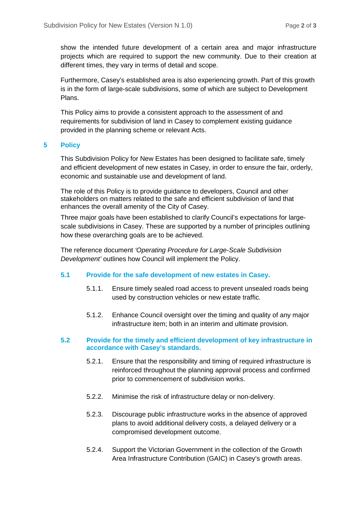show the intended future development of a certain area and major infrastructure projects which are required to support the new community. Due to their creation at different times, they vary in terms of detail and scope.

Furthermore, Casey's established area is also experiencing growth. Part of this growth is in the form of large-scale subdivisions, some of which are subject to Development Plans.

This Policy aims to provide a consistent approach to the assessment of and requirements for subdivision of land in Casey to complement existing guidance provided in the planning scheme or relevant Acts.

## **5 Policy**

This Subdivision Policy for New Estates has been designed to facilitate safe, timely and efficient development of new estates in Casey, in order to ensure the fair, orderly, economic and sustainable use and development of land.

The role of this Policy is to provide guidance to developers, Council and other stakeholders on matters related to the safe and efficient subdivision of land that enhances the overall amenity of the City of Casey.

Three major goals have been established to clarify Council's expectations for largescale subdivisions in Casey. These are supported by a number of principles outlining how these overarching goals are to be achieved.

The reference document *'Operating Procedure for Large-Scale Subdivision Development'* outlines how Council will implement the Policy.

### **5.1 Provide for the safe development of new estates in Casey.**

- 5.1.1. Ensure timely sealed road access to prevent unsealed roads being used by construction vehicles or new estate traffic.
- 5.1.2. Enhance Council oversight over the timing and quality of any major infrastructure item; both in an interim and ultimate provision.

### **5.2 Provide for the timely and efficient development of key infrastructure in accordance with Casey's standards.**

- 5.2.1. Ensure that the responsibility and timing of required infrastructure is reinforced throughout the planning approval process and confirmed prior to commencement of subdivision works.
- 5.2.2. Minimise the risk of infrastructure delay or non-delivery.
- 5.2.3. Discourage public infrastructure works in the absence of approved plans to avoid additional delivery costs, a delayed delivery or a compromised development outcome.
- 5.2.4. Support the Victorian Government in the collection of the Growth Area Infrastructure Contribution (GAIC) in Casey's growth areas.